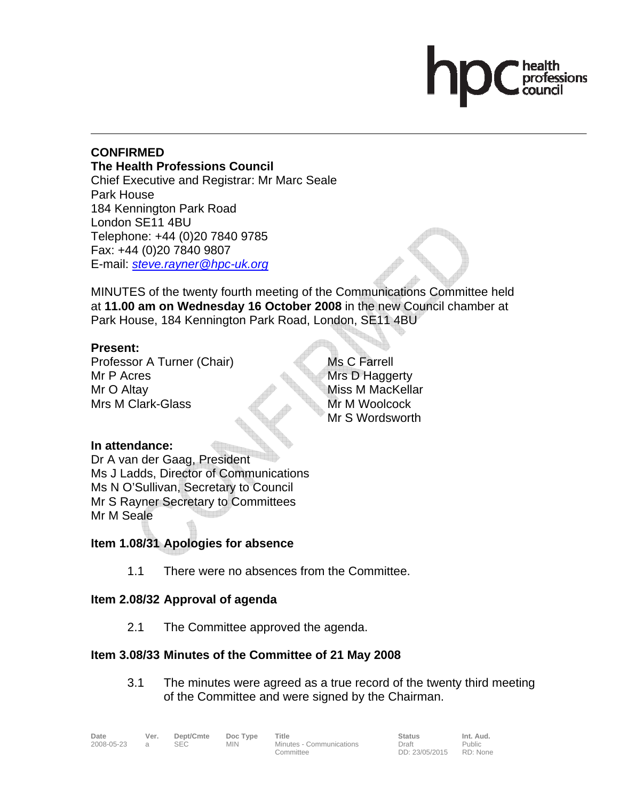# professions

### **CONFIRMED The Health Professions Council**  Chief Executive and Registrar: Mr Marc Seale Park House 184 Kennington Park Road London SE11 4BU Telephone: +44 (0)20 7840 9785 Fax: +44 (0)20 7840 9807 E-mail: *steve.rayner@hpc-uk.org*

MINUTES of the twenty fourth meeting of the Communications Committee held at **11.00 am on Wednesday 16 October 2008** in the new Council chamber at Park House, 184 Kennington Park Road, London, SE11 4BU

# **Present:**

Professor A Turner (Chair) Mr P Acres Mr O Altay Mrs M Clark-Glass

Ms C Farrell Mrs D Haggerty Miss M MacKellar Mr M Woolcock Mr S Wordsworth

# **In attendance:**

Dr A van der Gaag, President Ms J Ladds, Director of Communications Ms N O'Sullivan, Secretary to Council Mr S Rayner Secretary to Committees Mr M Seale

# **Item 1.08/31 Apologies for absence**

1.1 There were no absences from the Committee.

# **Item 2.08/32 Approval of agenda**

2.1 The Committee approved the agenda.

# **Item 3.08/33 Minutes of the Committee of 21 May 2008**

3.1 The minutes were agreed as a true record of the twenty third meeting of the Committee and were signed by the Chairman.

2008-05-23 a SEC MIN Minutes - Communications Committee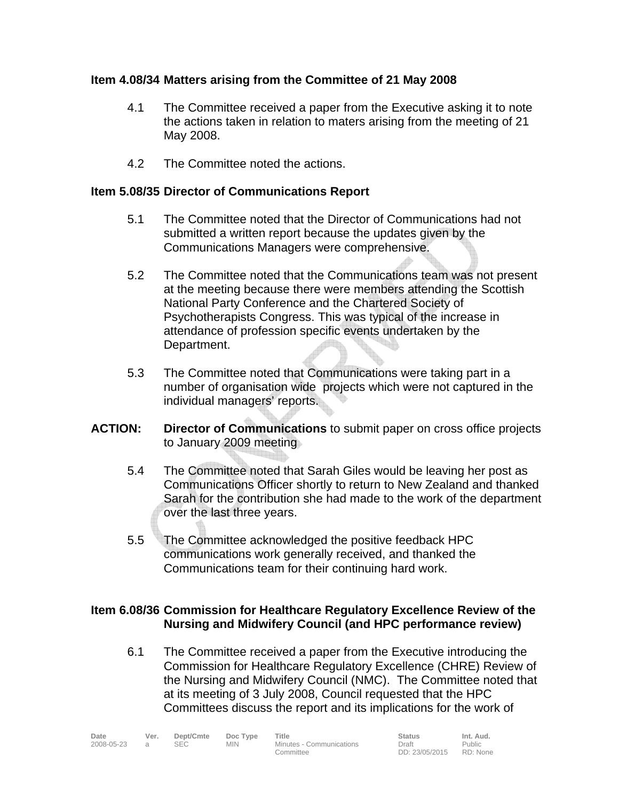# **Item 4.08/34 Matters arising from the Committee of 21 May 2008**

- 4.1 The Committee received a paper from the Executive asking it to note the actions taken in relation to maters arising from the meeting of 21 May 2008.
- 4.2 The Committee noted the actions.

# **Item 5.08/35 Director of Communications Report**

- 5.1 The Committee noted that the Director of Communications had not submitted a written report because the updates given by the Communications Managers were comprehensive.
- 5.2 The Committee noted that the Communications team was not present at the meeting because there were members attending the Scottish National Party Conference and the Chartered Society of Psychotherapists Congress. This was typical of the increase in attendance of profession specific events undertaken by the Department.
- 5.3 The Committee noted that Communications were taking part in a number of organisation wide projects which were not captured in the individual managers' reports.
- **ACTION: Director of Communications** to submit paper on cross office projects to January 2009 meeting
	- 5.4 The Committee noted that Sarah Giles would be leaving her post as Communications Officer shortly to return to New Zealand and thanked Sarah for the contribution she had made to the work of the department over the last three years.
	- 5.5 The Committee acknowledged the positive feedback HPC communications work generally received, and thanked the Communications team for their continuing hard work.

### **Item 6.08/36 Commission for Healthcare Regulatory Excellence Review of the Nursing and Midwifery Council (and HPC performance review)**

6.1 The Committee received a paper from the Executive introducing the Commission for Healthcare Regulatory Excellence (CHRE) Review of the Nursing and Midwifery Council (NMC). The Committee noted that at its meeting of 3 July 2008, Council requested that the HPC Committees discuss the report and its implications for the work of

| Date       | Ver. | Dept/Cmte | Doc Type   | Title                    | <b>Status</b>  | Int. Aud.     |
|------------|------|-----------|------------|--------------------------|----------------|---------------|
| 2008-05-23 |      |           | <b>MIN</b> | Minutes - Communications | Draft          | <b>Public</b> |
|            |      |           |            | Committee                | DD: 23/05/2015 | RD: None      |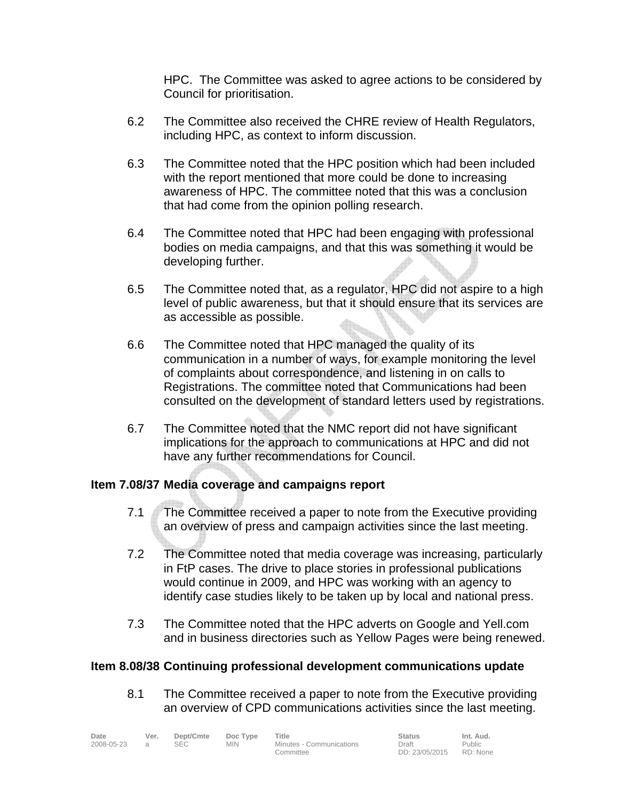HPC. The Committee was asked to agree actions to be considered by Council for prioritisation.

- 6.2 The Committee also received the CHRE review of Health Regulators, including HPC, as context to inform discussion.
- 6.3 The Committee noted that the HPC position which had been included with the report mentioned that more could be done to increasing awareness of HPC. The committee noted that this was a conclusion that had come from the opinion polling research.
- 6.4 The Committee noted that HPC had been engaging with professional bodies on media campaigns, and that this was something it would be developing further.
- 6.5 The Committee noted that, as a regulator, HPC did not aspire to a high level of public awareness, but that it should ensure that its services are<br>as accessible as possible. as accessible as possible.
- 6.6 The Committee noted that HPC managed the quality of its communication in a number of ways, for example monitoring the level of complaints about correspondence, and listening in on calls to Registrations. The committee noted that Communications had been consulted on the development of standard letters used by registrations.
- 6.7 The Committee noted that the NMC report did not have significant implications for the approach to communications at HPC and did not have any further recommendations for Council.

# **Item 7.08/37 Media coverage and campaigns report**

- 7.1 The Committee received a paper to note from the Executive providing an overview of press and campaign activities since the last meeting.
- 7.2 The Committee noted that media coverage was increasing, particularly in FtP cases. The drive to place stories in professional publications would continue in 2009, and HPC was working with an agency to identify case studies likely to be taken up by local and national press.
- 7.3 The Committee noted that the HPC adverts on Google and Yell.com and in business directories such as Yellow Pages were being renewed.

# **Item 8.08/38 Continuing professional development communications update**

8.1 The Committee received a paper to note from the Executive providing an overview of CPD communications activities since the last meeting.

| Date       | Ver. | Dept/Cmte  | Doc Type   | Title                    | <b>Status</b>  | Int. Aud. |
|------------|------|------------|------------|--------------------------|----------------|-----------|
| 2008-05-23 |      | <b>SEC</b> | <b>MIN</b> | Minutes - Communications | Draft          | Public    |
|            |      |            |            | Committee                | DD: 23/05/2015 | RD: None  |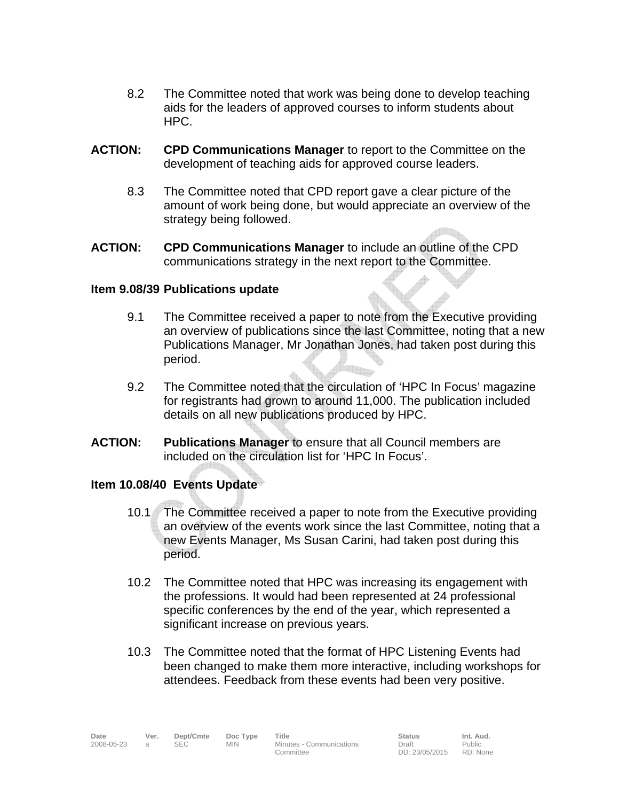- 8.2 The Committee noted that work was being done to develop teaching aids for the leaders of approved courses to inform students about HPC.
- **ACTION: CPD Communications Manager** to report to the Committee on the development of teaching aids for approved course leaders.
	- 8.3 The Committee noted that CPD report gave a clear picture of the amount of work being done, but would appreciate an overview of the strategy being followed.
- **ACTION: CPD Communications Manager** to include an outline of the CPD communications strategy in the next report to the Committee.

### **Item 9.08/39 Publications update**

- 9.1 The Committee received a paper to note from the Executive providing an overview of publications since the last Committee, noting that a new Publications Manager, Mr Jonathan Jones, had taken post during this period.
- 9.2 The Committee noted that the circulation of 'HPC In Focus' magazine for registrants had grown to around 11,000. The publication included details on all new publications produced by HPC.
- **ACTION: Publications Manager** to ensure that all Council members are included on the circulation list for 'HPC In Focus'.

### **Item 10.08/40 Events Update**

- 10.1 The Committee received a paper to note from the Executive providing an overview of the events work since the last Committee, noting that a new Events Manager, Ms Susan Carini, had taken post during this period.
- 10.2 The Committee noted that HPC was increasing its engagement with the professions. It would had been represented at 24 professional specific conferences by the end of the year, which represented a significant increase on previous years.
- 10.3 The Committee noted that the format of HPC Listening Events had been changed to make them more interactive, including workshops for attendees. Feedback from these events had been very positive.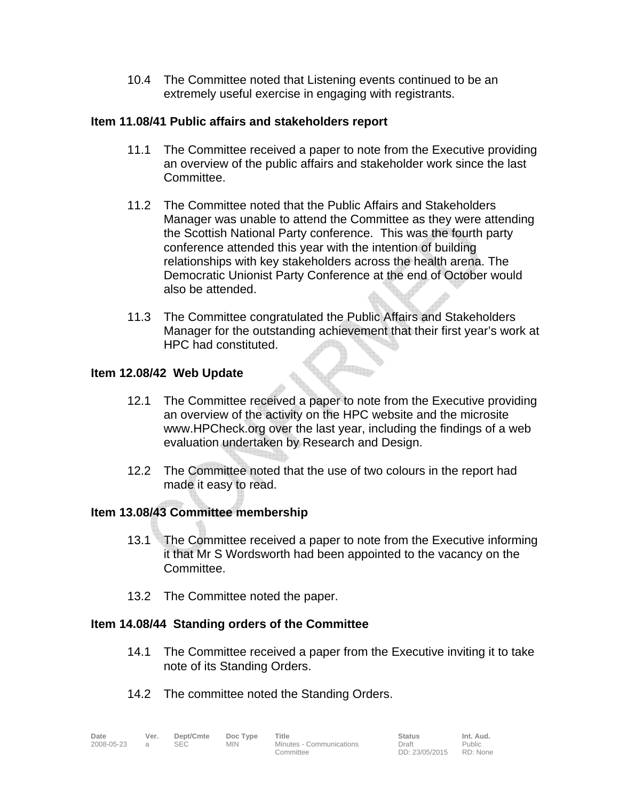10.4 The Committee noted that Listening events continued to be an extremely useful exercise in engaging with registrants.

### **Item 11.08/41 Public affairs and stakeholders report**

- 11.1 The Committee received a paper to note from the Executive providing an overview of the public affairs and stakeholder work since the last Committee.
- 11.2 The Committee noted that the Public Affairs and Stakeholders Manager was unable to attend the Committee as they were attending the Scottish National Party conference. This was the fourth party conference attended this year with the intention of building relationships with key stakeholders across the health arena. The Democratic Unionist Party Conference at the end of October would also be attended.
- 11.3 The Committee congratulated the Public Affairs and Stakeholders Manager for the outstanding achievement that their first year's work at HPC had constituted.

### **Item 12.08/42 Web Update**

- 12.1 The Committee received a paper to note from the Executive providing an overview of the activity on the HPC website and the microsite www.HPCheck.org over the last year, including the findings of a web evaluation undertaken by Research and Design.
- 12.2 The Committee noted that the use of two colours in the report had made it easy to read.

### **Item 13.08/43 Committee membership**

- 13.1 The Committee received a paper to note from the Executive informing it that Mr S Wordsworth had been appointed to the vacancy on the Committee.
- 13.2 The Committee noted the paper.

### **Item 14.08/44 Standing orders of the Committee**

- 14.1 The Committee received a paper from the Executive inviting it to take note of its Standing Orders.
- 14.2 The committee noted the Standing Orders.

| Date       |  |
|------------|--|
| 2008-05-23 |  |